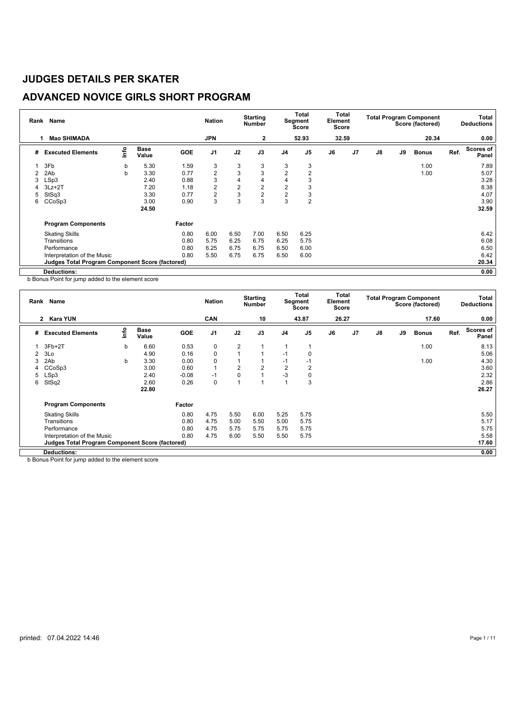## **ADVANCED NOVICE GIRLS SHORT PROGRAM**

| Rank           | Name                                                   |      |                      |            | <b>Nation</b>  |                | <b>Starting</b><br><b>Number</b> |                | Total<br>Segment<br>Score | Total<br>Element<br>Score |    |    |    | <b>Total Program Component</b><br>Score (factored) |      | Total<br><b>Deductions</b> |
|----------------|--------------------------------------------------------|------|----------------------|------------|----------------|----------------|----------------------------------|----------------|---------------------------|---------------------------|----|----|----|----------------------------------------------------|------|----------------------------|
|                | <b>Mao SHIMADA</b><br>1                                |      |                      |            | <b>JPN</b>     |                | $\mathbf{2}$                     |                | 52.93                     | 32.59                     |    |    |    | 20.34                                              |      | 0.00                       |
| #              | <b>Executed Elements</b>                               | lnfo | <b>Base</b><br>Value | <b>GOE</b> | J <sub>1</sub> | J2             | J3                               | J <sub>4</sub> | J <sub>5</sub>            | J6                        | J7 | J8 | J9 | <b>Bonus</b>                                       | Ref. | Scores of<br>Panel         |
|                | 3F <sub>b</sub>                                        | b    | 5.30                 | 1.59       | 3              | 3              | 3                                | 3              | 3                         |                           |    |    |    | 1.00                                               |      | 7.89                       |
| $\mathfrak{p}$ | 2Ab                                                    | b    | 3.30                 | 0.77       | $\overline{2}$ | 3              | 3                                | $\overline{2}$ | 2                         |                           |    |    |    | 1.00                                               |      | 5.07                       |
| 3              | LSp3                                                   |      | 2.40                 | 0.88       | 3              | 4              | 4                                | 4              | 3                         |                           |    |    |    |                                                    |      | 3.28                       |
|                | $3Lz + 2T$                                             |      | 7.20                 | 1.18       | $\overline{2}$ | $\overline{2}$ | 2                                | 2              | 3                         |                           |    |    |    |                                                    |      | 8.38                       |
| 5              | StSq3                                                  |      | 3.30                 | 0.77       | $\overline{2}$ | 3              | $\overline{2}$                   | $\overline{2}$ | 3                         |                           |    |    |    |                                                    |      | 4.07                       |
| 6              | CCoSp3                                                 |      | 3.00                 | 0.90       | 3              | 3              | 3                                | 3              | 2                         |                           |    |    |    |                                                    |      | 3.90                       |
|                |                                                        |      | 24.50                |            |                |                |                                  |                |                           |                           |    |    |    |                                                    |      | 32.59                      |
|                | <b>Program Components</b>                              |      |                      | Factor     |                |                |                                  |                |                           |                           |    |    |    |                                                    |      |                            |
|                | <b>Skating Skills</b>                                  |      |                      | 0.80       | 6.00           | 6.50           | 7.00                             | 6.50           | 6.25                      |                           |    |    |    |                                                    |      | 6.42                       |
|                | Transitions                                            |      |                      | 0.80       | 5.75           | 6.25           | 6.75                             | 6.25           | 5.75                      |                           |    |    |    |                                                    |      | 6.08                       |
|                | Performance                                            |      |                      | 0.80       | 6.25           | 6.75           | 6.75                             | 6.50           | 6.00                      |                           |    |    |    |                                                    |      | 6.50                       |
|                | Interpretation of the Music                            |      |                      | 0.80       | 5.50           | 6.75           | 6.75                             | 6.50           | 6.00                      |                           |    |    |    |                                                    |      | 6.42                       |
|                | <b>Judges Total Program Component Score (factored)</b> |      |                      |            |                |                |                                  |                |                           |                           |    |    |    |                                                    |      | 20.34                      |
|                | <b>Deductions:</b>                                     |      |                      |            |                |                |                                  |                |                           |                           |    |    |    |                                                    |      | 0.00                       |

b Bonus Point for jump added to the element score

| Rank           | <b>Name</b>                                            |      |                      |            | <b>Nation</b>  |                | <b>Starting</b><br><b>Number</b> |                | Total<br>Segment<br><b>Score</b> | Total<br>Element<br><b>Score</b> |    |               |    | <b>Total Program Component</b><br>Score (factored) |      | Total<br><b>Deductions</b> |
|----------------|--------------------------------------------------------|------|----------------------|------------|----------------|----------------|----------------------------------|----------------|----------------------------------|----------------------------------|----|---------------|----|----------------------------------------------------|------|----------------------------|
|                | 2 Kara YUN                                             |      |                      |            | <b>CAN</b>     |                | 10                               |                | 43.87                            | 26.27                            |    |               |    | 17.60                                              |      | 0.00                       |
| #              | <b>Executed Elements</b>                               | ١nf٥ | <b>Base</b><br>Value | <b>GOE</b> | J <sub>1</sub> | J2             | J3                               | J <sub>4</sub> | J <sub>5</sub>                   | J6                               | J7 | $\mathsf{J}8$ | J9 | <b>Bonus</b>                                       | Ref. | Scores of<br>Panel         |
|                | $3Fb+2T$                                               | b    | 6.60                 | 0.53       | 0              | $\overline{2}$ |                                  |                |                                  |                                  |    |               |    | 1.00                                               |      | 8.13                       |
| $\overline{2}$ | 3Lo                                                    |      | 4.90                 | 0.16       | $\mathbf 0$    |                |                                  | $-1$           | 0                                |                                  |    |               |    |                                                    |      | 5.06                       |
| 3              | 2Ab                                                    | b    | 3.30                 | 0.00       | 0              |                |                                  | $-1$           | -1                               |                                  |    |               |    | 1.00                                               |      | 4.30                       |
| 4              | CCoSp3                                                 |      | 3.00                 | 0.60       | $\mathbf{1}$   | $\overline{2}$ | $\overline{2}$                   | 2              | 2                                |                                  |    |               |    |                                                    |      | 3.60                       |
| 5              | LSp3                                                   |      | 2.40                 | $-0.08$    | $-1$           | $\mathbf 0$    |                                  | $-3$           | 0                                |                                  |    |               |    |                                                    |      | 2.32                       |
| 6              | StSq2                                                  |      | 2.60                 | 0.26       | 0              |                |                                  |                | 3                                |                                  |    |               |    |                                                    |      | 2.86                       |
|                |                                                        |      | 22.80                |            |                |                |                                  |                |                                  |                                  |    |               |    |                                                    |      | 26.27                      |
|                | <b>Program Components</b>                              |      |                      | Factor     |                |                |                                  |                |                                  |                                  |    |               |    |                                                    |      |                            |
|                | <b>Skating Skills</b>                                  |      |                      | 0.80       | 4.75           | 5.50           | 6.00                             | 5.25           | 5.75                             |                                  |    |               |    |                                                    |      | 5.50                       |
|                | Transitions                                            |      |                      | 0.80       | 4.75           | 5.00           | 5.50                             | 5.00           | 5.75                             |                                  |    |               |    |                                                    |      | 5.17                       |
|                | Performance                                            |      |                      | 0.80       | 4.75           | 5.75           | 5.75                             | 5.75           | 5.75                             |                                  |    |               |    |                                                    |      | 5.75                       |
|                | Interpretation of the Music                            |      |                      | 0.80       | 4.75           | 6.00           | 5.50                             | 5.50           | 5.75                             |                                  |    |               |    |                                                    |      | 5.58                       |
|                | <b>Judges Total Program Component Score (factored)</b> |      |                      |            |                |                |                                  |                |                                  |                                  |    |               |    |                                                    |      | 17.60                      |
|                | Deductions:                                            |      |                      |            |                |                |                                  |                |                                  |                                  |    |               |    |                                                    |      | 0.00                       |

b Bonus Point for jump added to the element score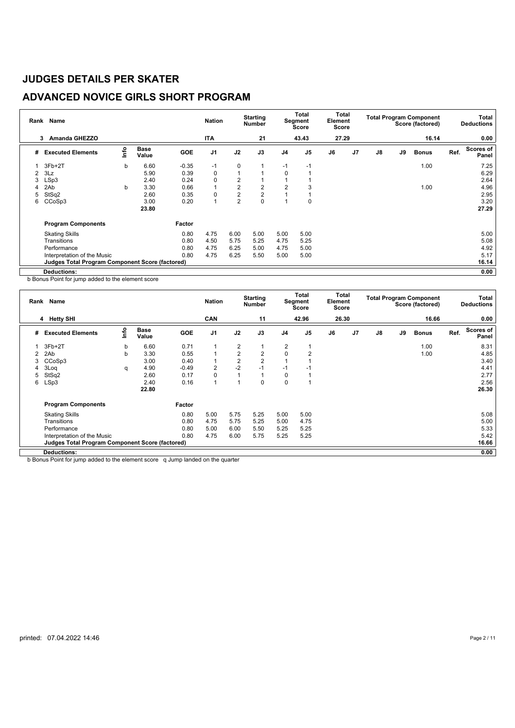## **ADVANCED NOVICE GIRLS SHORT PROGRAM**

| Rank | Name                                                   |      |                      |            | <b>Nation</b>  |                | <b>Starting</b><br><b>Number</b> |                | Total<br>Segment<br>Score | Element<br>Score | Total          |    |    | <b>Total Program Component</b><br>Score (factored) |      | Total<br><b>Deductions</b> |
|------|--------------------------------------------------------|------|----------------------|------------|----------------|----------------|----------------------------------|----------------|---------------------------|------------------|----------------|----|----|----------------------------------------------------|------|----------------------------|
|      | <b>Amanda GHEZZO</b><br>3                              |      |                      |            | <b>ITA</b>     |                | 21                               |                | 43.43                     | 27.29            |                |    |    | 16.14                                              |      | 0.00                       |
| #    | <b>Executed Elements</b>                               | lnfo | <b>Base</b><br>Value | <b>GOE</b> | J <sub>1</sub> | J2             | J3                               | J <sub>4</sub> | J <sub>5</sub>            | J6               | J <sub>7</sub> | J8 | J9 | <b>Bonus</b>                                       | Ref. | Scores of<br>Panel         |
|      | $3Fb+2T$                                               | b    | 6.60                 | $-0.35$    | $-1$           | 0              |                                  | $-1$           | $-1$                      |                  |                |    |    | 1.00                                               |      | 7.25                       |
| 2    | 3Lz                                                    |      | 5.90                 | 0.39       | 0              | $\mathbf{1}$   |                                  | $\mathbf 0$    |                           |                  |                |    |    |                                                    |      | 6.29                       |
| 3    | LSp3                                                   |      | 2.40                 | 0.24       | 0              | 2              |                                  |                |                           |                  |                |    |    |                                                    |      | 2.64                       |
|      | 2Ab                                                    | b    | 3.30                 | 0.66       | 1              | $\overline{2}$ | 2                                | $\overline{2}$ | 3                         |                  |                |    |    | 1.00                                               |      | 4.96                       |
| 5    | StSq2                                                  |      | 2.60                 | 0.35       | 0              | $\overline{2}$ | $\overline{2}$                   |                |                           |                  |                |    |    |                                                    |      | 2.95                       |
| 6    | CCoSp3                                                 |      | 3.00                 | 0.20       | 1              | $\overline{2}$ | 0                                |                | 0                         |                  |                |    |    |                                                    |      | 3.20                       |
|      |                                                        |      | 23.80                |            |                |                |                                  |                |                           |                  |                |    |    |                                                    |      | 27.29                      |
|      | <b>Program Components</b>                              |      |                      | Factor     |                |                |                                  |                |                           |                  |                |    |    |                                                    |      |                            |
|      | <b>Skating Skills</b>                                  |      |                      | 0.80       | 4.75           | 6.00           | 5.00                             | 5.00           | 5.00                      |                  |                |    |    |                                                    |      | 5.00                       |
|      | Transitions                                            |      |                      | 0.80       | 4.50           | 5.75           | 5.25                             | 4.75           | 5.25                      |                  |                |    |    |                                                    |      | 5.08                       |
|      | Performance                                            |      |                      | 0.80       | 4.75           | 6.25           | 5.00                             | 4.75           | 5.00                      |                  |                |    |    |                                                    |      | 4.92                       |
|      | Interpretation of the Music                            |      |                      | 0.80       | 4.75           | 6.25           | 5.50                             | 5.00           | 5.00                      |                  |                |    |    |                                                    |      | 5.17                       |
|      | <b>Judges Total Program Component Score (factored)</b> |      |                      |            |                |                |                                  |                |                           |                  |                |    |    |                                                    |      | 16.14                      |
|      | Deductions:                                            |      |                      |            |                |                |                                  |                |                           |                  |                |    |    |                                                    |      | 0.00                       |

b Bonus Point for jump added to the element score

| Rank | Name                                                   |      |                      |            | <b>Nation</b>  |                | <b>Starting</b><br><b>Number</b> |             | <b>Total</b><br>Segment<br><b>Score</b> | Total<br>Element<br>Score |                |               |    | <b>Total Program Component</b><br>Score (factored) |      | Total<br><b>Deductions</b> |
|------|--------------------------------------------------------|------|----------------------|------------|----------------|----------------|----------------------------------|-------------|-----------------------------------------|---------------------------|----------------|---------------|----|----------------------------------------------------|------|----------------------------|
|      | 4 Hetty SHI                                            |      |                      |            | <b>CAN</b>     |                | 11                               |             | 42.96                                   | 26.30                     |                |               |    | 16.66                                              |      | 0.00                       |
| #    | <b>Executed Elements</b>                               | lnfo | <b>Base</b><br>Value | <b>GOE</b> | J <sub>1</sub> | J2             | J3                               | J4          | J <sub>5</sub>                          | J6                        | J <sub>7</sub> | $\mathsf{J}8$ | J9 | <b>Bonus</b>                                       | Ref. | <b>Scores of</b><br>Panel  |
|      | $3Fb+2T$                                               | b    | 6.60                 | 0.71       | 1              | $\overline{2}$ |                                  | 2           |                                         |                           |                |               |    | 1.00                                               |      | 8.31                       |
| 2    | 2Ab                                                    | b    | 3.30                 | 0.55       | $\overline{A}$ | $\overline{2}$ | $\overline{2}$                   | $\Omega$    | $\overline{2}$                          |                           |                |               |    | 1.00                                               |      | 4.85                       |
| 3    | CCoSp3                                                 |      | 3.00                 | 0.40       |                | $\overline{2}$ | $\overline{2}$                   |             |                                         |                           |                |               |    |                                                    |      | 3.40                       |
| 4    | 3Log                                                   | q    | 4.90                 | $-0.49$    | $\overline{2}$ | $-2$           | $-1$                             | $-1$        | -1                                      |                           |                |               |    |                                                    |      | 4.41                       |
| 5    | StSq2                                                  |      | 2.60                 | 0.17       | 0              | 1              |                                  | 0           |                                         |                           |                |               |    |                                                    |      | 2.77                       |
| 6    | LSp3                                                   |      | 2.40                 | 0.16       | 1              | 4              | $\Omega$                         | $\mathbf 0$ |                                         |                           |                |               |    |                                                    |      | 2.56                       |
|      |                                                        |      | 22.80                |            |                |                |                                  |             |                                         |                           |                |               |    |                                                    |      | 26.30                      |
|      | <b>Program Components</b>                              |      |                      | Factor     |                |                |                                  |             |                                         |                           |                |               |    |                                                    |      |                            |
|      | <b>Skating Skills</b>                                  |      |                      | 0.80       | 5.00           | 5.75           | 5.25                             | 5.00        | 5.00                                    |                           |                |               |    |                                                    |      | 5.08                       |
|      | Transitions                                            |      |                      | 0.80       | 4.75           | 5.75           | 5.25                             | 5.00        | 4.75                                    |                           |                |               |    |                                                    |      | 5.00                       |
|      | Performance                                            |      |                      | 0.80       | 5.00           | 6.00           | 5.50                             | 5.25        | 5.25                                    |                           |                |               |    |                                                    |      | 5.33                       |
|      | Interpretation of the Music                            |      |                      | 0.80       | 4.75           | 6.00           | 5.75                             | 5.25        | 5.25                                    |                           |                |               |    |                                                    |      | 5.42                       |
|      | <b>Judges Total Program Component Score (factored)</b> |      |                      |            |                |                |                                  |             |                                         |                           |                |               |    |                                                    |      | 16.66                      |
|      | Deductions:                                            |      |                      |            |                |                |                                  |             |                                         |                           |                |               |    |                                                    |      | 0.00                       |

b Bonus Point for jump added to the element score q Jump landed on the quarter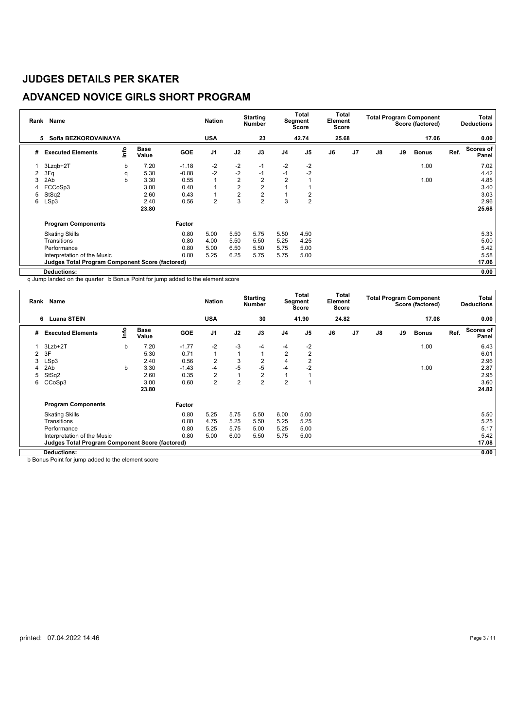## **ADVANCED NOVICE GIRLS SHORT PROGRAM**

| Rank | Name                                                   |      |                      |            | <b>Nation</b>  |                | <b>Starting</b><br><b>Number</b> |                | <b>Total</b><br>Segment<br>Score | Element<br>Score | Total          |               |    | <b>Total Program Component</b><br>Score (factored) |      | Total<br><b>Deductions</b> |
|------|--------------------------------------------------------|------|----------------------|------------|----------------|----------------|----------------------------------|----------------|----------------------------------|------------------|----------------|---------------|----|----------------------------------------------------|------|----------------------------|
|      | Sofia BEZKOROVAINAYA<br>5                              |      |                      |            | <b>USA</b>     |                | 23                               |                | 42.74                            | 25.68            |                |               |    | 17.06                                              |      | 0.00                       |
| #    | <b>Executed Elements</b>                               | info | <b>Base</b><br>Value | <b>GOE</b> | J <sub>1</sub> | J2             | J3                               | J <sub>4</sub> | J <sub>5</sub>                   | J6               | J <sub>7</sub> | $\mathsf{J}8$ | J9 | <b>Bonus</b>                                       | Ref. | Scores of<br>Panel         |
|      | 3Lzqb+2T                                               | b    | 7.20                 | $-1.18$    | $-2$           | $-2$           | $-1$                             | $-2$           | $-2$                             |                  |                |               |    | 1.00                                               |      | 7.02                       |
| 2    | 3Fq                                                    | q    | 5.30                 | $-0.88$    | $-2$           | $-2$           | $-1$                             | $-1$           | $-2$                             |                  |                |               |    |                                                    |      | 4.42                       |
| 3    | 2Ab                                                    | b    | 3.30                 | 0.55       | 1              | $\overline{2}$ | $\overline{2}$                   | $\overline{2}$ |                                  |                  |                |               |    | 1.00                                               |      | 4.85                       |
| 4    | FCCoSp3                                                |      | 3.00                 | 0.40       | 1              | $\overline{2}$ | $\overline{2}$                   |                |                                  |                  |                |               |    |                                                    |      | 3.40                       |
| 5    | StSq2                                                  |      | 2.60                 | 0.43       | 1              | $\overline{2}$ | $\overline{2}$                   |                | 2                                |                  |                |               |    |                                                    |      | 3.03                       |
| 6    | LSp3                                                   |      | 2.40                 | 0.56       | $\overline{2}$ | 3              | $\overline{2}$                   | 3              | $\overline{2}$                   |                  |                |               |    |                                                    |      | 2.96                       |
|      |                                                        |      | 23.80                |            |                |                |                                  |                |                                  |                  |                |               |    |                                                    |      | 25.68                      |
|      | <b>Program Components</b>                              |      |                      | Factor     |                |                |                                  |                |                                  |                  |                |               |    |                                                    |      |                            |
|      | <b>Skating Skills</b>                                  |      |                      | 0.80       | 5.00           | 5.50           | 5.75                             | 5.50           | 4.50                             |                  |                |               |    |                                                    |      | 5.33                       |
|      | Transitions                                            |      |                      | 0.80       | 4.00           | 5.50           | 5.50                             | 5.25           | 4.25                             |                  |                |               |    |                                                    |      | 5.00                       |
|      | Performance                                            |      |                      | 0.80       | 5.00           | 6.50           | 5.50                             | 5.75           | 5.00                             |                  |                |               |    |                                                    |      | 5.42                       |
|      | Interpretation of the Music                            |      |                      | 0.80       | 5.25           | 6.25           | 5.75                             | 5.75           | 5.00                             |                  |                |               |    |                                                    |      | 5.58                       |
|      | <b>Judges Total Program Component Score (factored)</b> |      |                      |            |                |                |                                  |                |                                  |                  |                |               |    |                                                    |      | 17.06                      |
|      | <b>Deductions:</b>                                     |      |                      |            |                |                |                                  |                |                                  |                  |                |               |    |                                                    |      | 0.00                       |

q Jump landed on the quarter b Bonus Point for jump added to the element score

|                | Rank Name                                              |      |                      |            | <b>Nation</b>  |                | <b>Starting</b><br><b>Number</b> |                | Total<br>Segment<br><b>Score</b> | Element<br>Score | Total          |               |    | <b>Total Program Component</b><br>Score (factored) |      | Total<br><b>Deductions</b> |
|----------------|--------------------------------------------------------|------|----------------------|------------|----------------|----------------|----------------------------------|----------------|----------------------------------|------------------|----------------|---------------|----|----------------------------------------------------|------|----------------------------|
|                | <b>Luana STEIN</b><br>6                                |      |                      |            | <b>USA</b>     |                | 30                               |                | 41.90                            |                  | 24.82          |               |    | 17.08                                              |      | 0.00                       |
| #              | <b>Executed Elements</b>                               | ١nf٥ | <b>Base</b><br>Value | <b>GOE</b> | J <sub>1</sub> | J2             | J3                               | J <sub>4</sub> | J <sub>5</sub>                   | J6               | J <sub>7</sub> | $\mathsf{J}8$ | J9 | <b>Bonus</b>                                       | Ref. | <b>Scores of</b><br>Panel  |
|                | $3Lzb+2T$                                              | b    | 7.20                 | $-1.77$    | $-2$           | -3             | $-4$                             | $-4$           | $-2$                             |                  |                |               |    | 1.00                                               |      | 6.43                       |
| $\overline{2}$ | 3F                                                     |      | 5.30                 | 0.71       | 1              | $\mathbf{1}$   |                                  | $\overline{2}$ | $\overline{2}$                   |                  |                |               |    |                                                    |      | 6.01                       |
| 3              | LSp3                                                   |      | 2.40                 | 0.56       | $\overline{2}$ | 3              | $\overline{2}$                   | 4              | $\overline{2}$                   |                  |                |               |    |                                                    |      | 2.96                       |
|                | 2Ab                                                    | b    | 3.30                 | $-1.43$    | -4             | $-5$           | $-5$                             | $-4$           | $-2$                             |                  |                |               |    | 1.00                                               |      | 2.87                       |
| 5              | StSq2                                                  |      | 2.60                 | 0.35       | $\overline{2}$ | $\mathbf{1}$   | $\overline{2}$                   |                |                                  |                  |                |               |    |                                                    |      | 2.95                       |
| 6              | CCoSp3                                                 |      | 3.00                 | 0.60       | $\overline{2}$ | $\overline{2}$ | $\overline{2}$                   | $\overline{2}$ |                                  |                  |                |               |    |                                                    |      | 3.60                       |
|                |                                                        |      | 23.80                |            |                |                |                                  |                |                                  |                  |                |               |    |                                                    |      | 24.82                      |
|                | <b>Program Components</b>                              |      |                      | Factor     |                |                |                                  |                |                                  |                  |                |               |    |                                                    |      |                            |
|                | <b>Skating Skills</b>                                  |      |                      | 0.80       | 5.25           | 5.75           | 5.50                             | 6.00           | 5.00                             |                  |                |               |    |                                                    |      | 5.50                       |
|                | Transitions                                            |      |                      | 0.80       | 4.75           | 5.25           | 5.50                             | 5.25           | 5.25                             |                  |                |               |    |                                                    |      | 5.25                       |
|                | Performance                                            |      |                      | 0.80       | 5.25           | 5.75           | 5.00                             | 5.25           | 5.00                             |                  |                |               |    |                                                    |      | 5.17                       |
|                | Interpretation of the Music                            |      |                      | 0.80       | 5.00           | 6.00           | 5.50                             | 5.75           | 5.00                             |                  |                |               |    |                                                    |      | 5.42                       |
|                | <b>Judges Total Program Component Score (factored)</b> |      |                      |            |                |                |                                  |                |                                  |                  |                |               |    |                                                    |      | 17.08                      |
|                | <b>Deductions:</b>                                     |      |                      |            |                |                |                                  |                |                                  |                  |                |               |    |                                                    |      | 0.00                       |

b Bonus Point for jump added to the element score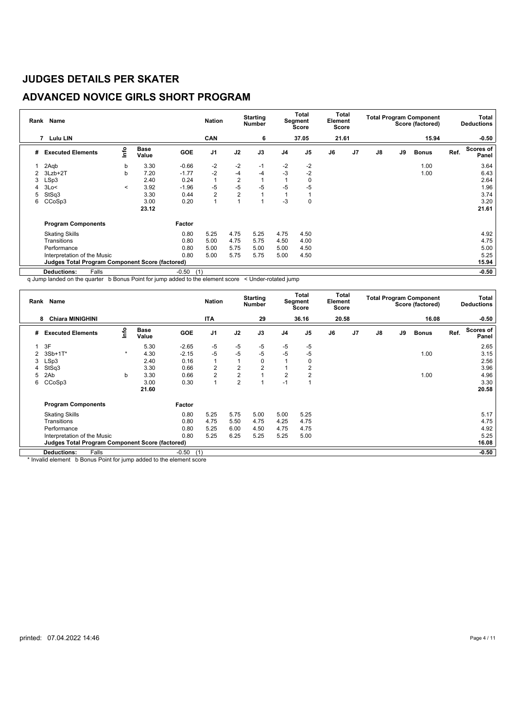## **ADVANCED NOVICE GIRLS SHORT PROGRAM**

|   | Rank Name                                              |         |               |                | <b>Nation</b>  |                | <b>Starting</b><br><b>Number</b> |                | Total<br>Segment<br>Score | Element<br>Score | Total          |    |    | <b>Total Program Component</b><br>Score (factored) |      | Total<br><b>Deductions</b> |
|---|--------------------------------------------------------|---------|---------------|----------------|----------------|----------------|----------------------------------|----------------|---------------------------|------------------|----------------|----|----|----------------------------------------------------|------|----------------------------|
|   | 7<br><b>Lulu LIN</b>                                   |         |               |                | CAN            |                | 6                                |                | 37.05                     | 21.61            |                |    |    | 15.94                                              |      | $-0.50$                    |
| # | <b>Executed Elements</b>                               | lnfo    | Base<br>Value | GOE            | J <sub>1</sub> | J2             | J3                               | J <sub>4</sub> | J <sub>5</sub>            | J6               | J <sub>7</sub> | J8 | J9 | <b>Bonus</b>                                       | Ref. | Scores of<br>Panel         |
|   | 2Aqb                                                   | b       | 3.30          | $-0.66$        | $-2$           | $-2$           | $-1$                             | $-2$           | $-2$                      |                  |                |    |    | 1.00                                               |      | 3.64                       |
| 2 | 3Lzb+2T                                                | b       | 7.20          | $-1.77$        | $-2$           | $-4$           | $-4$                             | $-3$           | $-2$                      |                  |                |    |    | 1.00                                               |      | 6.43                       |
| 3 | LSp3                                                   |         | 2.40          | 0.24           | $\mathbf{1}$   | $\overline{2}$ |                                  |                | 0                         |                  |                |    |    |                                                    |      | 2.64                       |
| 4 | 3Lo<                                                   | $\prec$ | 3.92          | $-1.96$        | $-5$           | $-5$           | $-5$                             | -5             | $-5$                      |                  |                |    |    |                                                    |      | 1.96                       |
| 5 | StSq3                                                  |         | 3.30          | 0.44           | $\overline{2}$ | $\overline{2}$ |                                  |                |                           |                  |                |    |    |                                                    |      | 3.74                       |
| 6 | CCoSp3                                                 |         | 3.00          | 0.20           | 1              |                |                                  | -3             | 0                         |                  |                |    |    |                                                    |      | 3.20                       |
|   |                                                        |         | 23.12         |                |                |                |                                  |                |                           |                  |                |    |    |                                                    |      | 21.61                      |
|   | <b>Program Components</b>                              |         |               | Factor         |                |                |                                  |                |                           |                  |                |    |    |                                                    |      |                            |
|   | <b>Skating Skills</b>                                  |         |               | 0.80           | 5.25           | 4.75           | 5.25                             | 4.75           | 4.50                      |                  |                |    |    |                                                    |      | 4.92                       |
|   | Transitions                                            |         |               | 0.80           | 5.00           | 4.75           | 5.75                             | 4.50           | 4.00                      |                  |                |    |    |                                                    |      | 4.75                       |
|   | Performance                                            |         |               | 0.80           | 5.00           | 5.75           | 5.00                             | 5.00           | 4.50                      |                  |                |    |    |                                                    |      | 5.00                       |
|   | Interpretation of the Music                            |         |               | 0.80           | 5.00           | 5.75           | 5.75                             | 5.00           | 4.50                      |                  |                |    |    |                                                    |      | 5.25                       |
|   | <b>Judges Total Program Component Score (factored)</b> |         |               |                |                |                |                                  |                |                           |                  |                |    |    |                                                    |      | 15.94                      |
|   | <b>Deductions:</b><br>Falls                            |         |               | $-0.50$<br>(1) |                |                |                                  |                |                           |                  |                |    |    |                                                    |      | $-0.50$                    |

q Jump landed on the quarter b Bonus Point for jump added to the element score < Under-rotated jump

| Rank | Name                                                   |         |                      |                | <b>Nation</b>  |                         | <b>Starting</b><br>Number |                | Total<br>Segment<br>Score | Total<br>Element<br><b>Score</b> |    |    |    | <b>Total Program Component</b><br>Score (factored) |      | Total<br><b>Deductions</b> |
|------|--------------------------------------------------------|---------|----------------------|----------------|----------------|-------------------------|---------------------------|----------------|---------------------------|----------------------------------|----|----|----|----------------------------------------------------|------|----------------------------|
|      | <b>Chiara MINIGHINI</b><br>8                           |         |                      |                | <b>ITA</b>     |                         | 29                        |                | 36.16                     | 20.58                            |    |    |    | 16.08                                              |      | $-0.50$                    |
| #    | <b>Executed Elements</b>                               | lnfo    | <b>Base</b><br>Value | <b>GOE</b>     | J <sub>1</sub> | J2                      | J3                        | J <sub>4</sub> | J <sub>5</sub>            | J6                               | J7 | J8 | J9 | <b>Bonus</b>                                       | Ref. | Scores of<br>Panel         |
|      | 3F                                                     |         | 5.30                 | $-2.65$        | -5             | -5                      | $-5$                      | $-5$           | $-5$                      |                                  |    |    |    |                                                    |      | 2.65                       |
| 2    | $3Sb+1T^*$                                             | $\star$ | 4.30                 | $-2.15$        | $-5$           | $-5$                    | $-5$                      | $-5$           | $-5$                      |                                  |    |    |    | 1.00                                               |      | 3.15                       |
| 3    | LSp3                                                   |         | 2.40                 | 0.16           |                | $\overline{\mathbf{A}}$ | 0                         |                | 0                         |                                  |    |    |    |                                                    |      | 2.56                       |
|      | StSq3                                                  |         | 3.30                 | 0.66           | 2              | 2                       | 2                         |                | 2                         |                                  |    |    |    |                                                    |      | 3.96                       |
| 5    | 2Ab                                                    | b       | 3.30                 | 0.66           | $\overline{2}$ | $\overline{2}$          |                           | $\overline{2}$ | 2                         |                                  |    |    |    | 1.00                                               |      | 4.96                       |
| 6    | CCoSp3                                                 |         | 3.00                 | 0.30           |                | $\overline{2}$          |                           | $-1$           |                           |                                  |    |    |    |                                                    |      | 3.30                       |
|      |                                                        |         | 21.60                |                |                |                         |                           |                |                           |                                  |    |    |    |                                                    |      | 20.58                      |
|      | <b>Program Components</b>                              |         |                      | Factor         |                |                         |                           |                |                           |                                  |    |    |    |                                                    |      |                            |
|      | <b>Skating Skills</b>                                  |         |                      | 0.80           | 5.25           | 5.75                    | 5.00                      | 5.00           | 5.25                      |                                  |    |    |    |                                                    |      | 5.17                       |
|      | Transitions                                            |         |                      | 0.80           | 4.75           | 5.50                    | 4.75                      | 4.25           | 4.75                      |                                  |    |    |    |                                                    |      | 4.75                       |
|      | Performance                                            |         |                      | 0.80           | 5.25           | 6.00                    | 4.50                      | 4.75           | 4.75                      |                                  |    |    |    |                                                    |      | 4.92                       |
|      | Interpretation of the Music                            |         |                      | 0.80           | 5.25           | 6.25                    | 5.25                      | 5.25           | 5.00                      |                                  |    |    |    |                                                    |      | 5.25                       |
|      | <b>Judges Total Program Component Score (factored)</b> |         |                      |                |                |                         |                           |                |                           |                                  |    |    |    |                                                    |      | 16.08                      |
|      | Falls<br><b>Deductions:</b>                            |         |                      | $-0.50$<br>(1) |                |                         |                           |                |                           |                                  |    |    |    |                                                    |      | $-0.50$                    |

\* Invalid element b Bonus Point for jump added to the element score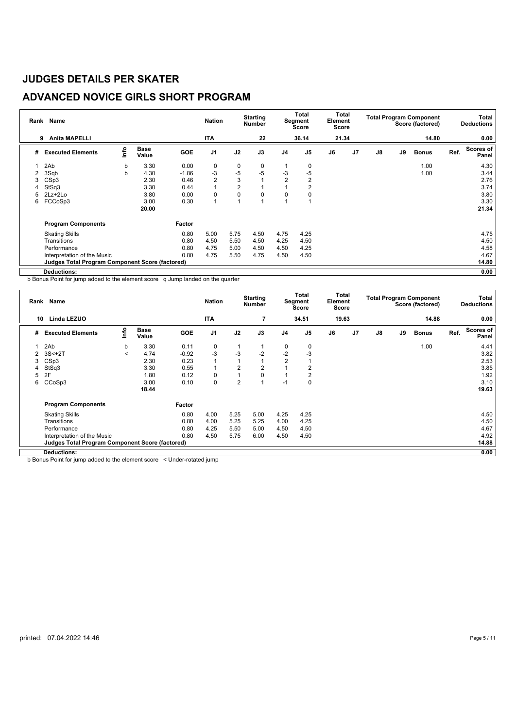## **ADVANCED NOVICE GIRLS SHORT PROGRAM**

| Rank           | Name                                            |      |                      |            | <b>Nation</b>  |                | <b>Starting</b><br><b>Number</b> |                | <b>Total</b><br>Segment<br>Score | Element<br>Score | Total          |               |    | <b>Total Program Component</b><br>Score (factored) |      | Total<br><b>Deductions</b> |
|----------------|-------------------------------------------------|------|----------------------|------------|----------------|----------------|----------------------------------|----------------|----------------------------------|------------------|----------------|---------------|----|----------------------------------------------------|------|----------------------------|
|                | <b>Anita MAPELLI</b><br>9                       |      |                      |            | <b>ITA</b>     |                | 22                               |                | 36.14                            | 21.34            |                |               |    | 14.80                                              |      | 0.00                       |
| #              | <b>Executed Elements</b>                        | info | <b>Base</b><br>Value | <b>GOE</b> | J <sub>1</sub> | J2             | J3                               | J <sub>4</sub> | J <sub>5</sub>                   | J6               | J <sub>7</sub> | $\mathsf{J}8$ | J9 | <b>Bonus</b>                                       | Ref. | Scores of<br>Panel         |
|                | 2Ab                                             | b    | 3.30                 | 0.00       | 0              | 0              | 0                                |                | 0                                |                  |                |               |    | 1.00                                               |      | 4.30                       |
| $\overline{2}$ | 3Sqb                                            | b    | 4.30                 | $-1.86$    | $-3$           | $-5$           | $-5$                             | -3             | $-5$                             |                  |                |               |    | 1.00                                               |      | 3.44                       |
| 3              | CSp3                                            |      | 2.30                 | 0.46       | 2              | 3              |                                  | $\overline{2}$ | $\overline{2}$                   |                  |                |               |    |                                                    |      | 2.76                       |
|                | StSq3                                           |      | 3.30                 | 0.44       | 1              | $\overline{2}$ |                                  |                | 2                                |                  |                |               |    |                                                    |      | 3.74                       |
| 5              | $2Lz + 2Lo$                                     |      | 3.80                 | 0.00       | 0              | 0              | 0                                | 0              | 0                                |                  |                |               |    |                                                    |      | 3.80                       |
| 6              | FCCoSp3                                         |      | 3.00                 | 0.30       | 1              |                |                                  |                |                                  |                  |                |               |    |                                                    |      | 3.30                       |
|                |                                                 |      | 20.00                |            |                |                |                                  |                |                                  |                  |                |               |    |                                                    |      | 21.34                      |
|                | <b>Program Components</b>                       |      |                      | Factor     |                |                |                                  |                |                                  |                  |                |               |    |                                                    |      |                            |
|                | <b>Skating Skills</b>                           |      |                      | 0.80       | 5.00           | 5.75           | 4.50                             | 4.75           | 4.25                             |                  |                |               |    |                                                    |      | 4.75                       |
|                | Transitions                                     |      |                      | 0.80       | 4.50           | 5.50           | 4.50                             | 4.25           | 4.50                             |                  |                |               |    |                                                    |      | 4.50                       |
|                | Performance                                     |      |                      | 0.80       | 4.75           | 5.00           | 4.50                             | 4.50           | 4.25                             |                  |                |               |    |                                                    |      | 4.58                       |
|                | Interpretation of the Music                     |      |                      | 0.80       | 4.75           | 5.50           | 4.75                             | 4.50           | 4.50                             |                  |                |               |    |                                                    |      | 4.67                       |
|                | Judges Total Program Component Score (factored) |      |                      |            |                |                |                                  |                |                                  |                  |                |               |    |                                                    |      | 14.80                      |
|                | <b>Deductions:</b>                              |      |                      |            |                |                |                                  |                |                                  |                  |                |               |    |                                                    |      | 0.00                       |

b Bonus Point for jump added to the element score q Jump landed on the quarter

| Rank | Name                                            |         |                      |            | <b>Nation</b>  |                | <b>Starting</b><br><b>Number</b> |                | Total<br>Segment<br>Score | Element<br>Score | Total          |    |    | <b>Total Program Component</b><br>Score (factored) |      | Total<br><b>Deductions</b> |
|------|-------------------------------------------------|---------|----------------------|------------|----------------|----------------|----------------------------------|----------------|---------------------------|------------------|----------------|----|----|----------------------------------------------------|------|----------------------------|
| 10   | Linda LEZUO                                     |         |                      |            | <b>ITA</b>     |                |                                  |                | 34.51                     |                  | 19.63          |    |    | 14.88                                              |      | 0.00                       |
| #    | <b>Executed Elements</b>                        | lnfo    | <b>Base</b><br>Value | <b>GOE</b> | J <sub>1</sub> | J2             | J3                               | J <sub>4</sub> | J <sub>5</sub>            | J6               | J <sub>7</sub> | J8 | J9 | <b>Bonus</b>                                       | Ref. | Scores of<br>Panel         |
|      | 2Ab                                             | b       | 3.30                 | 0.11       | 0              | 1              |                                  | 0              | 0                         |                  |                |    |    | 1.00                                               |      | 4.41                       |
| 2    | $3S<+2T$                                        | $\prec$ | 4.74                 | $-0.92$    | $-3$           | $-3$           | $-2$                             | $-2$           | $-3$                      |                  |                |    |    |                                                    |      | 3.82                       |
| 3    | CSp3                                            |         | 2.30                 | 0.23       | 1              | $\mathbf{1}$   |                                  | $\overline{2}$ |                           |                  |                |    |    |                                                    |      | 2.53                       |
| 4    | StSq3                                           |         | 3.30                 | 0.55       | 1              | 2              | 2                                |                | 2                         |                  |                |    |    |                                                    |      | 3.85                       |
| 5    | 2F                                              |         | 1.80                 | 0.12       | 0              | $\mathbf{1}$   | 0                                |                | 2                         |                  |                |    |    |                                                    |      | 1.92                       |
| 6    | CCoSp3                                          |         | 3.00                 | 0.10       | 0              | $\overline{2}$ |                                  | $-1$           | 0                         |                  |                |    |    |                                                    |      | 3.10                       |
|      |                                                 |         | 18.44                |            |                |                |                                  |                |                           |                  |                |    |    |                                                    |      | 19.63                      |
|      | <b>Program Components</b>                       |         |                      | Factor     |                |                |                                  |                |                           |                  |                |    |    |                                                    |      |                            |
|      | <b>Skating Skills</b>                           |         |                      | 0.80       | 4.00           | 5.25           | 5.00                             | 4.25           | 4.25                      |                  |                |    |    |                                                    |      | 4.50                       |
|      | Transitions                                     |         |                      | 0.80       | 4.00           | 5.25           | 5.25                             | 4.00           | 4.25                      |                  |                |    |    |                                                    |      | 4.50                       |
|      | Performance                                     |         |                      | 0.80       | 4.25           | 5.50           | 5.00                             | 4.50           | 4.50                      |                  |                |    |    |                                                    |      | 4.67                       |
|      | Interpretation of the Music                     |         |                      | 0.80       | 4.50           | 5.75           | 6.00                             | 4.50           | 4.50                      |                  |                |    |    |                                                    |      | 4.92                       |
|      | Judges Total Program Component Score (factored) |         |                      |            |                |                |                                  |                |                           |                  |                |    |    |                                                    |      | 14.88                      |
|      | Deductions:                                     |         |                      |            |                |                |                                  |                |                           |                  |                |    |    |                                                    |      | 0.00                       |

b Bonus Point for jump added to the element score < Under-rotated jump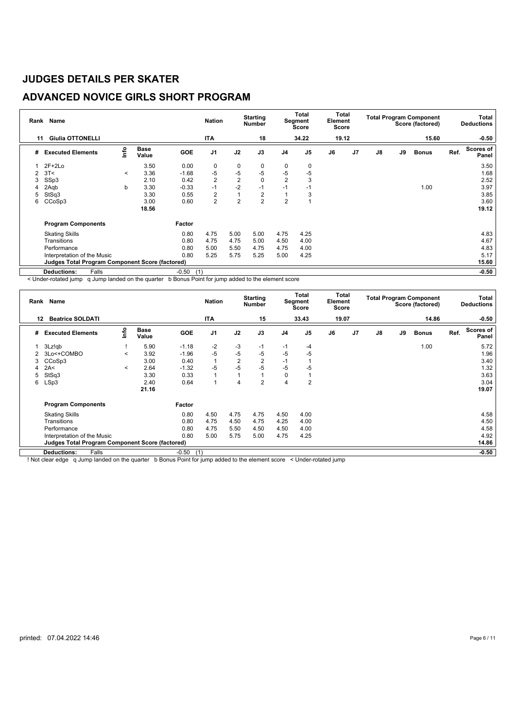## **ADVANCED NOVICE GIRLS SHORT PROGRAM**

|    | Rank Name                                       |         |                      |                | <b>Nation</b>  |                | <b>Starting</b><br><b>Number</b> |                | Total<br>Segment<br>Score | Element<br>Score | Total          |    |    | <b>Total Program Component</b><br>Score (factored) |      | Total<br><b>Deductions</b> |
|----|-------------------------------------------------|---------|----------------------|----------------|----------------|----------------|----------------------------------|----------------|---------------------------|------------------|----------------|----|----|----------------------------------------------------|------|----------------------------|
| 11 | <b>Giulia OTTONELLI</b>                         |         |                      |                | <b>ITA</b>     |                | 18                               |                | 34.22                     | 19.12            |                |    |    | 15.60                                              |      | $-0.50$                    |
| #  | <b>Executed Elements</b>                        | ۴ů      | <b>Base</b><br>Value | <b>GOE</b>     | J <sub>1</sub> | J2             | J3                               | J <sub>4</sub> | J <sub>5</sub>            | J6               | J <sub>7</sub> | J8 | J9 | <b>Bonus</b>                                       | Ref. | <b>Scores of</b><br>Panel  |
|    | $2F+2Lo$                                        |         | 3.50                 | 0.00           | 0              | 0              | 0                                | 0              | 0                         |                  |                |    |    |                                                    |      | 3.50                       |
| 2  | 3T<                                             | $\prec$ | 3.36                 | $-1.68$        | $-5$           | $-5$           | $-5$                             | -5             | $-5$                      |                  |                |    |    |                                                    |      | 1.68                       |
| 3  | SSp3                                            |         | 2.10                 | 0.42           | $\overline{2}$ | $\overline{2}$ | $\mathbf 0$                      | $\overline{2}$ | 3                         |                  |                |    |    |                                                    |      | 2.52                       |
| 4  | 2Aqb                                            | b       | 3.30                 | $-0.33$        | $-1$           | $-2$           | $-1$                             | $-1$           | $-1$                      |                  |                |    |    | 1.00                                               |      | 3.97                       |
| 5  | StSq3                                           |         | 3.30                 | 0.55           | 2              | 1              | $\overline{2}$                   |                | 3                         |                  |                |    |    |                                                    |      | 3.85                       |
| 6  | CCoSp3                                          |         | 3.00                 | 0.60           | $\overline{2}$ | $\overline{2}$ | $\overline{2}$                   | $\overline{2}$ |                           |                  |                |    |    |                                                    |      | 3.60                       |
|    |                                                 |         | 18.56                |                |                |                |                                  |                |                           |                  |                |    |    |                                                    |      | 19.12                      |
|    | <b>Program Components</b>                       |         |                      | Factor         |                |                |                                  |                |                           |                  |                |    |    |                                                    |      |                            |
|    | <b>Skating Skills</b>                           |         |                      | 0.80           | 4.75           | 5.00           | 5.00                             | 4.75           | 4.25                      |                  |                |    |    |                                                    |      | 4.83                       |
|    | Transitions                                     |         |                      | 0.80           | 4.75           | 4.75           | 5.00                             | 4.50           | 4.00                      |                  |                |    |    |                                                    |      | 4.67                       |
|    | Performance                                     |         |                      | 0.80           | 5.00           | 5.50           | 4.75                             | 4.75           | 4.00                      |                  |                |    |    |                                                    |      | 4.83                       |
|    | Interpretation of the Music                     |         |                      | 0.80           | 5.25           | 5.75           | 5.25                             | 5.00           | 4.25                      |                  |                |    |    |                                                    |      | 5.17                       |
|    | Judges Total Program Component Score (factored) |         |                      |                |                |                |                                  |                |                           |                  |                |    |    |                                                    |      | 15.60                      |
|    | Falls<br><b>Deductions:</b>                     |         |                      | $-0.50$<br>(1) |                |                |                                  |                |                           |                  |                |    |    |                                                    |      | $-0.50$                    |

< Under-rotated jump q Jump landed on the quarter b Bonus Point for jump added to the element score

| Rank | Name                                                   |                       |                      |                | <b>Nation</b>  |                | <b>Starting</b><br>Number |                | Total<br>Segment<br><b>Score</b> | Element<br>Score | Total          |               |    | <b>Total Program Component</b><br>Score (factored) |      | Total<br><b>Deductions</b> |
|------|--------------------------------------------------------|-----------------------|----------------------|----------------|----------------|----------------|---------------------------|----------------|----------------------------------|------------------|----------------|---------------|----|----------------------------------------------------|------|----------------------------|
| 12   | <b>Beatrice SOLDATI</b>                                |                       |                      |                | <b>ITA</b>     |                | 15                        |                | 33.43                            | 19.07            |                |               |    | 14.86                                              |      | $-0.50$                    |
| #    | <b>Executed Elements</b>                               | ١nf٥                  | <b>Base</b><br>Value | <b>GOE</b>     | J <sub>1</sub> | J2             | J3                        | J <sub>4</sub> | J <sub>5</sub>                   | J6               | J <sub>7</sub> | $\mathsf{J}8$ | J9 | <b>Bonus</b>                                       | Ref. | Scores of<br>Panel         |
|      | 3Lz!qb                                                 |                       | 5.90                 | $-1.18$        | $-2$           | -3             | $-1$                      | $-1$           | $-4$                             |                  |                |               |    | 1.00                                               |      | 5.72                       |
|      | 3Lo<+COMBO                                             | $\tilde{\phantom{0}}$ | 3.92                 | $-1.96$        | $-5$           | $-5$           | $-5$                      | -5             | $-5$                             |                  |                |               |    |                                                    |      | 1.96                       |
| 3    | CCoSp3                                                 |                       | 3.00                 | 0.40           |                | $\overline{2}$ | $\overline{2}$            | $-1$           |                                  |                  |                |               |    |                                                    |      | 3.40                       |
|      | 2A<                                                    | $\tilde{\phantom{0}}$ | 2.64                 | $-1.32$        | $-5$           | $-5$           | $-5$                      | -5             | $-5$                             |                  |                |               |    |                                                    |      | 1.32                       |
| 5    | StSq3                                                  |                       | 3.30                 | 0.33           |                |                |                           | 0              |                                  |                  |                |               |    |                                                    |      | 3.63                       |
| 6    | LSp3                                                   |                       | 2.40                 | 0.64           |                | 4              | $\overline{2}$            | 4              | $\overline{2}$                   |                  |                |               |    |                                                    |      | 3.04                       |
|      |                                                        |                       | 21.16                |                |                |                |                           |                |                                  |                  |                |               |    |                                                    |      | 19.07                      |
|      | <b>Program Components</b>                              |                       |                      | Factor         |                |                |                           |                |                                  |                  |                |               |    |                                                    |      |                            |
|      | <b>Skating Skills</b>                                  |                       |                      | 0.80           | 4.50           | 4.75           | 4.75                      | 4.50           | 4.00                             |                  |                |               |    |                                                    |      | 4.58                       |
|      | Transitions                                            |                       |                      | 0.80           | 4.75           | 4.50           | 4.75                      | 4.25           | 4.00                             |                  |                |               |    |                                                    |      | 4.50                       |
|      | Performance                                            |                       |                      | 0.80           | 4.75           | 5.50           | 4.50                      | 4.50           | 4.00                             |                  |                |               |    |                                                    |      | 4.58                       |
|      | Interpretation of the Music                            |                       |                      | 0.80           | 5.00           | 5.75           | 5.00                      | 4.75           | 4.25                             |                  |                |               |    |                                                    |      | 4.92                       |
|      | <b>Judges Total Program Component Score (factored)</b> |                       |                      |                |                |                |                           |                |                                  |                  |                |               |    |                                                    |      | 14.86                      |
|      | Falls<br><b>Deductions:</b>                            |                       |                      | $-0.50$<br>(1) |                |                |                           |                |                                  |                  |                |               |    |                                                    |      | $-0.50$                    |

! Not clear edge q Jump landed on the quarter b Bonus Point for jump added to the element score < Under-rotated jump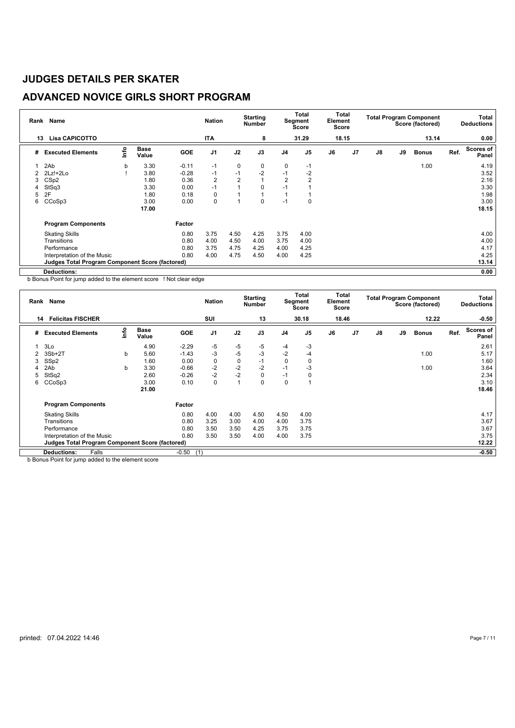## **ADVANCED NOVICE GIRLS SHORT PROGRAM**

| Rank | Name                                            |      |                      | <b>Nation</b> |                | <b>Starting</b><br><b>Number</b> |      | <b>Total</b><br>Segment<br>Score | Element<br>Score | Total |                |               | <b>Total Program Component</b><br>Score (factored) |              | Total<br><b>Deductions</b> |                    |
|------|-------------------------------------------------|------|----------------------|---------------|----------------|----------------------------------|------|----------------------------------|------------------|-------|----------------|---------------|----------------------------------------------------|--------------|----------------------------|--------------------|
| 13   | <b>Lisa CAPICOTTO</b>                           |      |                      |               | <b>ITA</b>     |                                  | 8    |                                  | 31.29            |       | 18.15          |               |                                                    | 13.14        |                            | 0.00               |
| #    | <b>Executed Elements</b>                        | info | <b>Base</b><br>Value | <b>GOE</b>    | J <sub>1</sub> | J2                               | J3   | J <sub>4</sub>                   | J <sub>5</sub>   | J6    | J <sub>7</sub> | $\mathsf{J}8$ | J9                                                 | <b>Bonus</b> | Ref.                       | Scores of<br>Panel |
|      | 2Ab                                             | b    | 3.30                 | $-0.11$       | $-1$           | 0                                | 0    | $\mathbf 0$                      | $-1$             |       |                |               |                                                    | 1.00         |                            | 4.19               |
|      | $2Lz!+2Lo$                                      |      | 3.80                 | $-0.28$       | $-1$           | $-1$                             | $-2$ | $-1$                             | $-2$             |       |                |               |                                                    |              |                            | 3.52               |
| 3    | CS <sub>p2</sub>                                |      | 1.80                 | 0.36          | 2              | $\overline{2}$                   |      | $\overline{2}$                   | $\overline{2}$   |       |                |               |                                                    |              |                            | 2.16               |
| 4    | StSq3                                           |      | 3.30                 | 0.00          | $-1$           |                                  | 0    |                                  |                  |       |                |               |                                                    |              |                            | 3.30               |
| 5    | 2F                                              |      | 1.80                 | 0.18          | 0              |                                  |      |                                  |                  |       |                |               |                                                    |              |                            | 1.98               |
| 6    | CCoSp3                                          |      | 3.00                 | 0.00          | 0              |                                  | 0    | $-1$                             | 0                |       |                |               |                                                    |              |                            | 3.00               |
|      |                                                 |      | 17.00                |               |                |                                  |      |                                  |                  |       |                |               |                                                    |              |                            | 18.15              |
|      | <b>Program Components</b>                       |      |                      | Factor        |                |                                  |      |                                  |                  |       |                |               |                                                    |              |                            |                    |
|      | <b>Skating Skills</b>                           |      |                      | 0.80          | 3.75           | 4.50                             | 4.25 | 3.75                             | 4.00             |       |                |               |                                                    |              |                            | 4.00               |
|      | Transitions                                     |      |                      | 0.80          | 4.00           | 4.50                             | 4.00 | 3.75                             | 4.00             |       |                |               |                                                    |              |                            | 4.00               |
|      | Performance                                     |      |                      | 0.80          | 3.75           | 4.75                             | 4.25 | 4.00                             | 4.25             |       |                |               |                                                    |              |                            | 4.17               |
|      | Interpretation of the Music                     |      |                      | 0.80          | 4.00           | 4.75                             | 4.50 | 4.00                             | 4.25             |       |                |               |                                                    |              |                            | 4.25               |
|      | Judges Total Program Component Score (factored) |      |                      |               |                |                                  |      |                                  |                  |       |                |               |                                                    |              |                            | 13.14              |
|      | <b>Deductions:</b>                              |      |                      |               |                |                                  |      |                                  |                  |       |                |               |                                                    |              |                            | 0.00               |

b Bonus Point for jump added to the element score ! Not clear edge

|    | Rank Name                                              |      | <b>Nation</b>        |                | <b>Starting</b><br><b>Number</b> |              | Total<br>Segment<br>Score | Element<br>Score | Total          |       |                | <b>Total Program Component</b><br>Score (factored) |    | Total<br><b>Deductions</b> |      |                           |
|----|--------------------------------------------------------|------|----------------------|----------------|----------------------------------|--------------|---------------------------|------------------|----------------|-------|----------------|----------------------------------------------------|----|----------------------------|------|---------------------------|
| 14 | <b>Felicitas FISCHER</b>                               |      |                      |                | SUI                              |              | 13                        |                  | 30.18          | 18.46 |                |                                                    |    | 12.22                      |      | $-0.50$                   |
| #  | <b>Executed Elements</b>                               | ١nf٥ | <b>Base</b><br>Value | <b>GOE</b>     | J <sub>1</sub>                   | J2           | J3                        | J <sub>4</sub>   | J <sub>5</sub> | J6    | J <sub>7</sub> | J8                                                 | J9 | <b>Bonus</b>               | Ref. | <b>Scores of</b><br>Panel |
|    | 3Lo                                                    |      | 4.90                 | $-2.29$        | -5                               | -5           | $-5$                      | -4               | -3             |       |                |                                                    |    |                            |      | 2.61                      |
| 2  | $3Sb+2T$                                               | b    | 5.60                 | $-1.43$        | $-3$                             | $-5$         | $-3$                      | $-2$             | $-4$           |       |                |                                                    |    | 1.00                       |      | 5.17                      |
| 3  | SSp2                                                   |      | 1.60                 | 0.00           | 0                                | $\mathbf 0$  | $-1$                      | 0                | 0              |       |                |                                                    |    |                            |      | 1.60                      |
|    | 2Ab                                                    | b    | 3.30                 | $-0.66$        | $-2$                             | $-2$         | $-2$                      | $-1$             | -3             |       |                |                                                    |    | 1.00                       |      | 3.64                      |
| 5  | StSq2                                                  |      | 2.60                 | $-0.26$        | $-2$                             | $-2$         | 0                         | $-1$             | 0              |       |                |                                                    |    |                            |      | 2.34                      |
| 6  | CCoSp3                                                 |      | 3.00                 | 0.10           | 0                                | $\mathbf{1}$ | 0                         | $\mathbf 0$      |                |       |                |                                                    |    |                            |      | 3.10                      |
|    |                                                        |      | 21.00                |                |                                  |              |                           |                  |                |       |                |                                                    |    |                            |      | 18.46                     |
|    | <b>Program Components</b>                              |      |                      | Factor         |                                  |              |                           |                  |                |       |                |                                                    |    |                            |      |                           |
|    | <b>Skating Skills</b>                                  |      |                      | 0.80           | 4.00                             | 4.00         | 4.50                      | 4.50             | 4.00           |       |                |                                                    |    |                            |      | 4.17                      |
|    | Transitions                                            |      |                      | 0.80           | 3.25                             | 3.00         | 4.00                      | 4.00             | 3.75           |       |                |                                                    |    |                            |      | 3.67                      |
|    | Performance                                            |      |                      | 0.80           | 3.50                             | 3.50         | 4.25                      | 3.75             | 3.75           |       |                |                                                    |    |                            |      | 3.67                      |
|    | Interpretation of the Music                            |      |                      | 0.80           | 3.50                             | 3.50         | 4.00                      | 4.00             | 3.75           |       |                |                                                    |    |                            |      | 3.75                      |
|    | <b>Judges Total Program Component Score (factored)</b> |      |                      |                |                                  |              |                           |                  |                |       |                |                                                    |    |                            |      | 12.22                     |
|    | Falls<br><b>Deductions:</b>                            |      |                      | $-0.50$<br>(1) |                                  |              |                           |                  |                |       |                |                                                    |    |                            |      | $-0.50$                   |

**b Bonus Point for jump added to the element score**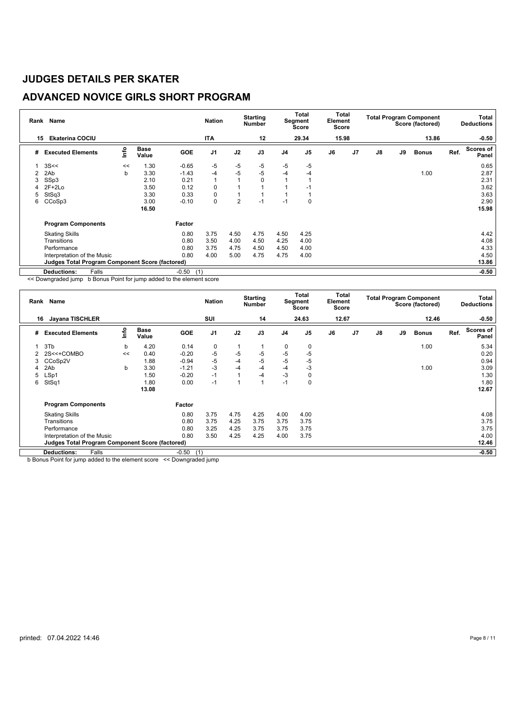## **ADVANCED NOVICE GIRLS SHORT PROGRAM**

|    | Rank Name                                              |      |                      |         | <b>Nation</b>  |                | <b>Starting</b><br><b>Number</b> |                | Total<br>Segment<br>Score | Element<br>Score | Total          |    |    | <b>Total Program Component</b><br>Score (factored) |      | Total<br><b>Deductions</b> |
|----|--------------------------------------------------------|------|----------------------|---------|----------------|----------------|----------------------------------|----------------|---------------------------|------------------|----------------|----|----|----------------------------------------------------|------|----------------------------|
| 15 | <b>Ekaterina COCIU</b>                                 |      |                      |         | <b>ITA</b>     |                | 12                               |                | 29.34                     | 15.98            |                |    |    | 13.86                                              |      | $-0.50$                    |
| #  | <b>Executed Elements</b>                               | lnfo | <b>Base</b><br>Value | GOE     | J <sub>1</sub> | J2             | J3                               | J <sub>4</sub> | J <sub>5</sub>            | J6               | J <sub>7</sub> | J8 | J9 | <b>Bonus</b>                                       | Ref. | Scores of<br>Panel         |
|    | 3S <                                                   | <<   | 1.30                 | $-0.65$ | -5             | -5             | $-5$                             | -5             | $-5$                      |                  |                |    |    |                                                    |      | 0.65                       |
| 2  | 2Ab                                                    | b    | 3.30                 | $-1.43$ | -4             | $-5$           | $-5$                             | $-4$           | $-4$                      |                  |                |    |    | 1.00                                               |      | 2.87                       |
| 3  | SSp3                                                   |      | 2.10                 | 0.21    | $\mathbf{1}$   |                | 0                                |                |                           |                  |                |    |    |                                                    |      | 2.31                       |
|    | $2F+2Lo$                                               |      | 3.50                 | 0.12    | 0              |                |                                  |                | -1                        |                  |                |    |    |                                                    |      | 3.62                       |
| 5  | StSq3                                                  |      | 3.30                 | 0.33    | 0              |                |                                  |                |                           |                  |                |    |    |                                                    |      | 3.63                       |
| 6  | CCoSp3                                                 |      | 3.00                 | $-0.10$ | 0              | $\overline{2}$ | $-1$                             | $-1$           | 0                         |                  |                |    |    |                                                    |      | 2.90                       |
|    |                                                        |      | 16.50                |         |                |                |                                  |                |                           |                  |                |    |    |                                                    |      | 15.98                      |
|    | <b>Program Components</b>                              |      |                      | Factor  |                |                |                                  |                |                           |                  |                |    |    |                                                    |      |                            |
|    | <b>Skating Skills</b>                                  |      |                      | 0.80    | 3.75           | 4.50           | 4.75                             | 4.50           | 4.25                      |                  |                |    |    |                                                    |      | 4.42                       |
|    | Transitions                                            |      |                      | 0.80    | 3.50           | 4.00           | 4.50                             | 4.25           | 4.00                      |                  |                |    |    |                                                    |      | 4.08                       |
|    | Performance                                            |      |                      | 0.80    | 3.75           | 4.75           | 4.50                             | 4.50           | 4.00                      |                  |                |    |    |                                                    |      | 4.33                       |
|    | Interpretation of the Music                            |      |                      | 0.80    | 4.00           | 5.00           | 4.75                             | 4.75           | 4.00                      |                  |                |    |    |                                                    |      | 4.50                       |
|    | <b>Judges Total Program Component Score (factored)</b> |      |                      |         |                |                |                                  |                |                           |                  |                |    |    |                                                    |      | 13.86                      |
|    | <b>Deductions:</b><br>Falls                            |      |                      | $-0.50$ | (1)            |                |                                  |                |                           |                  |                |    |    |                                                    |      | $-0.50$                    |

<< Downgraded jump b Bonus Point for jump added to the element score

|    | Rank Name                                              |      | <b>Nation</b>        |                | <b>Starting</b><br><b>Number</b> |      | Total<br>Segment<br>Score | Total<br>Element<br>Score |                |       |                | <b>Total Program Component</b><br>Score (factored) |    | Total<br><b>Deductions</b> |      |                           |
|----|--------------------------------------------------------|------|----------------------|----------------|----------------------------------|------|---------------------------|---------------------------|----------------|-------|----------------|----------------------------------------------------|----|----------------------------|------|---------------------------|
| 16 | <b>Jayana TISCHLER</b>                                 |      |                      |                | SUI                              |      | 14                        |                           | 24.63          | 12.67 |                |                                                    |    | 12.46                      |      | $-0.50$                   |
| #  | <b>Executed Elements</b>                               | lnfo | <b>Base</b><br>Value | <b>GOE</b>     | J <sub>1</sub>                   | J2   | J3                        | J <sub>4</sub>            | J <sub>5</sub> | J6    | J <sub>7</sub> | J8                                                 | J9 | <b>Bonus</b>               | Ref. | <b>Scores of</b><br>Panel |
|    | 3T <sub>b</sub>                                        | b    | 4.20                 | 0.14           | 0                                | 1    |                           | 0                         | 0              |       |                |                                                    |    | 1.00                       |      | 5.34                      |
|    | 2S<<+COMBO                                             | <<   | 0.40                 | $-0.20$        | -5                               | $-5$ | $-5$                      | $-5$                      | $-5$           |       |                |                                                    |    |                            |      | 0.20                      |
| 3  | CCoSp2V                                                |      | 1.88                 | $-0.94$        | $-5$                             | $-4$ | $-5$                      | $-5$                      | $-5$           |       |                |                                                    |    |                            |      | 0.94                      |
| 4  | 2Ab                                                    | b    | 3.30                 | $-1.21$        | $-3$                             | $-4$ | $-4$                      | $-4$                      | -3             |       |                |                                                    |    | 1.00                       |      | 3.09                      |
| 5  | LSp1                                                   |      | 1.50                 | $-0.20$        | $-1$                             | 1    | $-4$                      | $-3$                      | $\mathbf 0$    |       |                |                                                    |    |                            |      | 1.30                      |
| 6  | StSq1                                                  |      | 1.80                 | 0.00           | $-1$                             | 4    |                           | $-1$                      | $\mathbf 0$    |       |                |                                                    |    |                            |      | 1.80                      |
|    |                                                        |      | 13.08                |                |                                  |      |                           |                           |                |       |                |                                                    |    |                            |      | 12.67                     |
|    | <b>Program Components</b>                              |      |                      | Factor         |                                  |      |                           |                           |                |       |                |                                                    |    |                            |      |                           |
|    | <b>Skating Skills</b>                                  |      |                      | 0.80           | 3.75                             | 4.75 | 4.25                      | 4.00                      | 4.00           |       |                |                                                    |    |                            |      | 4.08                      |
|    | Transitions                                            |      |                      | 0.80           | 3.75                             | 4.25 | 3.75                      | 3.75                      | 3.75           |       |                |                                                    |    |                            |      | 3.75                      |
|    | Performance                                            |      |                      | 0.80           | 3.25                             | 4.25 | 3.75                      | 3.75                      | 3.75           |       |                |                                                    |    |                            |      | 3.75                      |
|    | Interpretation of the Music                            |      |                      | 0.80           | 3.50                             | 4.25 | 4.25                      | 4.00                      | 3.75           |       |                |                                                    |    |                            |      | 4.00                      |
|    | <b>Judges Total Program Component Score (factored)</b> |      |                      |                |                                  |      |                           |                           |                |       |                |                                                    |    |                            |      | 12.46                     |
|    | Falls<br><b>Deductions:</b>                            |      |                      | $-0.50$<br>(1) |                                  |      |                           |                           |                |       |                |                                                    |    |                            |      | $-0.50$                   |

b Bonus Point for jump added to the element score << Downgraded jump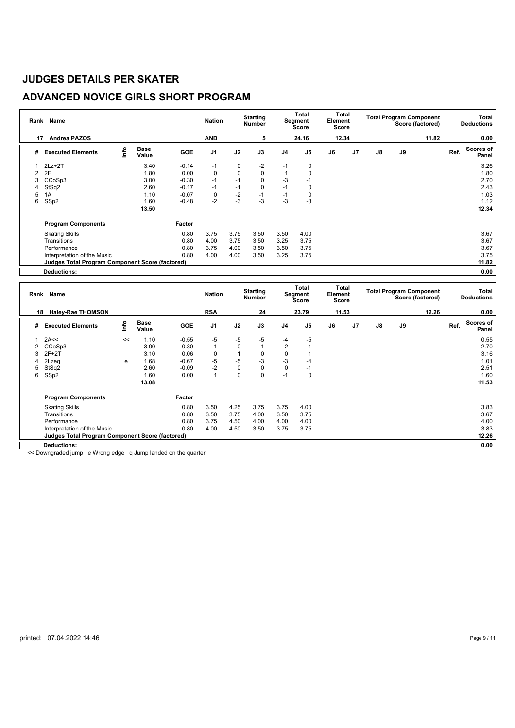## **ADVANCED NOVICE GIRLS SHORT PROGRAM**

|    | Rank Name                                              |      |                      |         | <b>Nation</b>  |             | <b>Starting</b><br><b>Number</b> |                | <b>Total</b><br>Segment<br>Score | Element<br>Score | Total          |    |    | <b>Total Program Component</b><br>Score (factored) |      | Total<br><b>Deductions</b> |
|----|--------------------------------------------------------|------|----------------------|---------|----------------|-------------|----------------------------------|----------------|----------------------------------|------------------|----------------|----|----|----------------------------------------------------|------|----------------------------|
| 17 | <b>Andrea PAZOS</b>                                    |      |                      |         | <b>AND</b>     |             | 5                                |                | 24.16                            |                  | 12.34          |    |    | 11.82                                              |      | 0.00                       |
| #  | <b>Executed Elements</b>                               | lnfo | <b>Base</b><br>Value | GOE     | J <sub>1</sub> | J2          | J3                               | J <sub>4</sub> | J <sub>5</sub>                   | J6               | J <sub>7</sub> | J8 | J9 |                                                    | Ref. | Scores of<br>Panel         |
|    | $2Lz+2T$                                               |      | 3.40                 | $-0.14$ | -1             | 0           | $-2$                             | $-1$           | $\mathbf 0$                      |                  |                |    |    |                                                    |      | 3.26                       |
|    | 2F                                                     |      | 1.80                 | 0.00    | $\mathbf 0$    | $\mathbf 0$ | 0                                |                | 0                                |                  |                |    |    |                                                    |      | 1.80                       |
| 3  | CCoSp3                                                 |      | 3.00                 | $-0.30$ | $-1$           | $-1$        | 0                                | -3             | $-1$                             |                  |                |    |    |                                                    |      | 2.70                       |
|    | StSq2                                                  |      | 2.60                 | $-0.17$ | $-1$           | $-1$        | 0                                | $-1$           | 0                                |                  |                |    |    |                                                    |      | 2.43                       |
| 5  | 1A                                                     |      | 1.10                 | $-0.07$ | $\mathbf 0$    | $-2$        | $-1$                             | $-1$           | 0                                |                  |                |    |    |                                                    |      | 1.03                       |
| 6  | SS <sub>p2</sub>                                       |      | 1.60                 | $-0.48$ | $-2$           | $-3$        | $-3$                             | -3             | $-3$                             |                  |                |    |    |                                                    |      | 1.12                       |
|    |                                                        |      | 13.50                |         |                |             |                                  |                |                                  |                  |                |    |    |                                                    |      | 12.34                      |
|    | <b>Program Components</b>                              |      |                      | Factor  |                |             |                                  |                |                                  |                  |                |    |    |                                                    |      |                            |
|    | <b>Skating Skills</b>                                  |      |                      | 0.80    | 3.75           | 3.75        | 3.50                             | 3.50           | 4.00                             |                  |                |    |    |                                                    |      | 3.67                       |
|    | Transitions                                            |      |                      | 0.80    | 4.00           | 3.75        | 3.50                             | 3.25           | 3.75                             |                  |                |    |    |                                                    |      | 3.67                       |
|    | Performance                                            |      |                      | 0.80    | 3.75           | 4.00        | 3.50                             | 3.50           | 3.75                             |                  |                |    |    |                                                    |      | 3.67                       |
|    | Interpretation of the Music                            |      |                      | 0.80    | 4.00           | 4.00        | 3.50                             | 3.25           | 3.75                             |                  |                |    |    |                                                    |      | 3.75                       |
|    | <b>Judges Total Program Component Score (factored)</b> |      |                      |         |                |             |                                  |                |                                  |                  |                |    |    |                                                    |      | 11.82                      |
|    | Deductions:                                            |      |                      |         |                |             |                                  |                |                                  |                  |                |    |    |                                                    |      | 0.00                       |

| Rank | Name<br><b>Haley-Rae THOMSON</b><br>18                 |      |                      |            | <b>Nation</b>  |           | <b>Starting</b><br>Number |      | Total<br>Segment<br>Score | Element<br><b>Score</b> | Total          |               |    | <b>Total Program Component</b><br>Score (factored) |      | Total<br><b>Deductions</b> |
|------|--------------------------------------------------------|------|----------------------|------------|----------------|-----------|---------------------------|------|---------------------------|-------------------------|----------------|---------------|----|----------------------------------------------------|------|----------------------------|
|      |                                                        |      |                      |            | <b>RSA</b>     |           | 24                        |      | 23.79                     |                         | 11.53          |               |    | 12.26                                              |      | 0.00                       |
| #    | <b>Executed Elements</b>                               | Info | <b>Base</b><br>Value | <b>GOE</b> | J <sub>1</sub> | J2        | J3                        | J4   | J <sub>5</sub>            | J6                      | J <sub>7</sub> | $\mathsf{J}8$ | J9 |                                                    | Ref. | Scores of<br>Panel         |
|      | 2A<<                                                   | <<   | 1.10                 | $-0.55$    | $-5$           | -5        | -5                        | -4   | $-5$                      |                         |                |               |    |                                                    |      | 0.55                       |
|      | 2 CCoSp3                                               |      | 3.00                 | $-0.30$    | $-1$           | 0         | $-1$                      | $-2$ | $-1$                      |                         |                |               |    |                                                    |      | 2.70                       |
| 3    | $2F+2T$                                                |      | 3.10                 | 0.06       | 0              |           | 0                         | 0    |                           |                         |                |               |    |                                                    |      | 3.16                       |
| 4    | 2Lzeg                                                  | e    | 1.68                 | $-0.67$    | $-5$           | $-5$      | $-3$                      | $-3$ | -4                        |                         |                |               |    |                                                    |      | 1.01                       |
| 5    | StSq2                                                  |      | 2.60                 | $-0.09$    | $-2$           | $\pmb{0}$ | $\pmb{0}$                 | 0    | $-1$                      |                         |                |               |    |                                                    |      | 2.51                       |
| 6    | SSp2                                                   |      | 1.60                 | 0.00       |                | 0         | 0                         | $-1$ | $\mathbf 0$               |                         |                |               |    |                                                    |      | 1.60                       |
|      |                                                        |      | 13.08                |            |                |           |                           |      |                           |                         |                |               |    |                                                    |      | 11.53                      |
|      | <b>Program Components</b>                              |      |                      | Factor     |                |           |                           |      |                           |                         |                |               |    |                                                    |      |                            |
|      | <b>Skating Skills</b>                                  |      |                      | 0.80       | 3.50           | 4.25      | 3.75                      | 3.75 | 4.00                      |                         |                |               |    |                                                    |      | 3.83                       |
|      | Transitions                                            |      |                      | 0.80       | 3.50           | 3.75      | 4.00                      | 3.50 | 3.75                      |                         |                |               |    |                                                    |      | 3.67                       |
|      | Performance                                            |      |                      | 0.80       | 3.75           | 4.50      | 4.00                      | 4.00 | 4.00                      |                         |                |               |    |                                                    |      | 4.00                       |
|      | Interpretation of the Music                            |      |                      | 0.80       | 4.00           | 4.50      | 3.50                      | 3.75 | 3.75                      |                         |                |               |    |                                                    |      | 3.83                       |
|      | <b>Judges Total Program Component Score (factored)</b> |      |                      |            |                |           |                           |      |                           |                         |                |               |    |                                                    |      | 12.26                      |
|      | <b>Deductions:</b>                                     |      |                      |            |                |           |                           |      |                           |                         |                |               |    |                                                    |      | 0.00                       |

<< Downgraded jump e Wrong edge q Jump landed on the quarter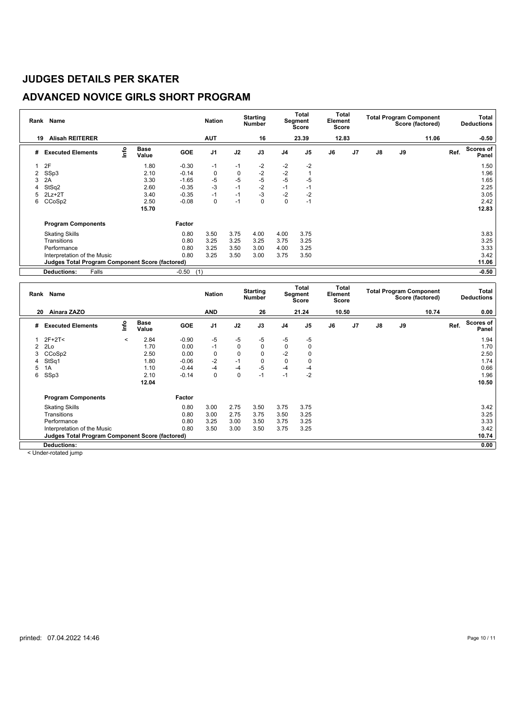## **ADVANCED NOVICE GIRLS SHORT PROGRAM**

|    | Rank Name                                              |                                  |                      |            | <b>Nation</b>  |             | <b>Starting</b><br><b>Number</b> |                | Total<br>Segment<br>Score | <b>Total</b><br>Element<br><b>Score</b> |                |               |    | <b>Total Program Component</b><br>Score (factored) |      | Total<br><b>Deductions</b> |
|----|--------------------------------------------------------|----------------------------------|----------------------|------------|----------------|-------------|----------------------------------|----------------|---------------------------|-----------------------------------------|----------------|---------------|----|----------------------------------------------------|------|----------------------------|
| 19 | <b>Alisah REITERER</b>                                 |                                  |                      |            | <b>AUT</b>     |             | 16                               |                | 23.39                     |                                         | 12.83          |               |    | 11.06                                              |      | $-0.50$                    |
| #  | <b>Executed Elements</b>                               | $\mathop{\mathsf{Irr}}\nolimits$ | <b>Base</b><br>Value | <b>GOE</b> | J <sub>1</sub> | J2          | J3                               | J <sub>4</sub> | J <sub>5</sub>            | J6                                      | J <sub>7</sub> | $\mathsf{J}8$ | J9 |                                                    | Ref. | Scores of<br>Panel         |
|    | 2F                                                     |                                  | 1.80                 | $-0.30$    | $-1$           | $-1$        | $-2$                             | $-2$           | $-2$                      |                                         |                |               |    |                                                    |      | 1.50                       |
| 2  | SSp3                                                   |                                  | 2.10                 | $-0.14$    | 0              | $\mathbf 0$ | $-2$                             | $-2$           |                           |                                         |                |               |    |                                                    |      | 1.96                       |
| 3  | 2A                                                     |                                  | 3.30                 | $-1.65$    | -5             | $-5$        | $-5$                             | $-5$           | $-5$                      |                                         |                |               |    |                                                    |      | 1.65                       |
| 4  | StSq2                                                  |                                  | 2.60                 | $-0.35$    | $-3$           | $-1$        | $-2$                             | $-1$           | $-1$                      |                                         |                |               |    |                                                    |      | 2.25                       |
| 5  | $2Lz+2T$                                               |                                  | 3.40                 | $-0.35$    | $-1$           | $-1$        | $-3$                             | $-2$           | $-2$                      |                                         |                |               |    |                                                    |      | 3.05                       |
| 6  | CCoSp2                                                 |                                  | 2.50                 | $-0.08$    | 0              | $-1$        | 0                                | 0              | $-1$                      |                                         |                |               |    |                                                    |      | 2.42                       |
|    |                                                        |                                  | 15.70                |            |                |             |                                  |                |                           |                                         |                |               |    |                                                    |      | 12.83                      |
|    | <b>Program Components</b>                              |                                  |                      | Factor     |                |             |                                  |                |                           |                                         |                |               |    |                                                    |      |                            |
|    | <b>Skating Skills</b>                                  |                                  |                      | 0.80       | 3.50           | 3.75        | 4.00                             | 4.00           | 3.75                      |                                         |                |               |    |                                                    |      | 3.83                       |
|    | Transitions                                            |                                  |                      | 0.80       | 3.25           | 3.25        | 3.25                             | 3.75           | 3.25                      |                                         |                |               |    |                                                    |      | 3.25                       |
|    | Performance                                            |                                  |                      | 0.80       | 3.25           | 3.50        | 3.00                             | 4.00           | 3.25                      |                                         |                |               |    |                                                    |      | 3.33                       |
|    | Interpretation of the Music                            |                                  |                      | 0.80       | 3.25           | 3.50        | 3.00                             | 3.75           | 3.50                      |                                         |                |               |    |                                                    |      | 3.42                       |
|    | <b>Judges Total Program Component Score (factored)</b> |                                  |                      |            |                |             |                                  |                |                           |                                         |                |               |    |                                                    |      | 11.06                      |
|    | Falls<br><b>Deductions:</b>                            |                                  |                      | $-0.50$    | (1)            |             |                                  |                |                           |                                         |                |               |    |                                                    |      | $-0.50$                    |

| Rank | Name<br>Ainara ZAZO                                    |         |                      |         | <b>Nation</b>  |             | <b>Starting</b><br><b>Number</b> |      | Total<br>Segment<br>Score | Element<br>Score | Total |               |    | <b>Total Program Component</b><br>Score (factored) |      | Total<br><b>Deductions</b> |
|------|--------------------------------------------------------|---------|----------------------|---------|----------------|-------------|----------------------------------|------|---------------------------|------------------|-------|---------------|----|----------------------------------------------------|------|----------------------------|
| 20   |                                                        |         |                      |         | <b>AND</b>     |             | 26                               |      | 21.24                     |                  | 10.50 |               |    | 10.74                                              |      | 0.00                       |
| #    | <b>Executed Elements</b>                               | ١nfo    | <b>Base</b><br>Value | GOE     | J <sub>1</sub> | J2          | J3                               | J4   | J <sub>5</sub>            | J6               | J7    | $\mathsf{J}8$ | J9 |                                                    | Ref. | Scores of<br>Panel         |
|      | $2F+2T2$                                               | $\prec$ | 2.84                 | $-0.90$ | -5             | -5          | $-5$                             | -5   | $-5$                      |                  |       |               |    |                                                    |      | 1.94                       |
|      | 2Lo                                                    |         | 1.70                 | 0.00    | $-1$           | $\mathbf 0$ | $\mathbf 0$                      | 0    | 0                         |                  |       |               |    |                                                    |      | 1.70                       |
|      | CCoSp2                                                 |         | 2.50                 | 0.00    | 0              | 0           | $\mathbf 0$                      | $-2$ |                           |                  |       |               |    |                                                    |      | 2.50                       |
|      | StSq1                                                  |         | 1.80                 | $-0.06$ | $-2$           | $-1$        | $\mathbf 0$                      | 0    | 0                         |                  |       |               |    |                                                    |      | 1.74                       |
| 5    | 1A                                                     |         | 1.10                 | $-0.44$ | -4             | $-4$        | $-5$                             | -4   | -4                        |                  |       |               |    |                                                    |      | 0.66                       |
| 6    | SSp3                                                   |         | 2.10                 | $-0.14$ | $\Omega$       | 0           | $-1$                             | $-1$ | $-2$                      |                  |       |               |    |                                                    |      | 1.96                       |
|      |                                                        |         | 12.04                |         |                |             |                                  |      |                           |                  |       |               |    |                                                    |      | 10.50                      |
|      | <b>Program Components</b>                              |         |                      | Factor  |                |             |                                  |      |                           |                  |       |               |    |                                                    |      |                            |
|      | <b>Skating Skills</b>                                  |         |                      | 0.80    | 3.00           | 2.75        | 3.50                             | 3.75 | 3.75                      |                  |       |               |    |                                                    |      | 3.42                       |
|      | Transitions                                            |         |                      | 0.80    | 3.00           | 2.75        | 3.75                             | 3.50 | 3.25                      |                  |       |               |    |                                                    |      | 3.25                       |
|      | Performance                                            |         |                      | 0.80    | 3.25           | 3.00        | 3.50                             | 3.75 | 3.25                      |                  |       |               |    |                                                    |      | 3.33                       |
|      | Interpretation of the Music                            |         |                      | 0.80    | 3.50           | 3.00        | 3.50                             | 3.75 | 3.25                      |                  |       |               |    |                                                    |      | 3.42                       |
|      | <b>Judges Total Program Component Score (factored)</b> |         |                      |         |                |             |                                  |      |                           |                  |       |               |    |                                                    |      | 10.74                      |
|      | <b>Deductions:</b>                                     |         |                      |         |                |             |                                  |      |                           |                  |       |               |    |                                                    |      | 0.00                       |

< Under-rotated jump